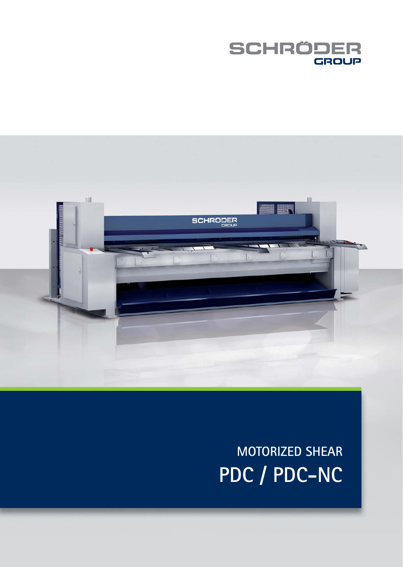



# **SCHEMAS MOTORIZED SHEAR** PDC / PDC-NC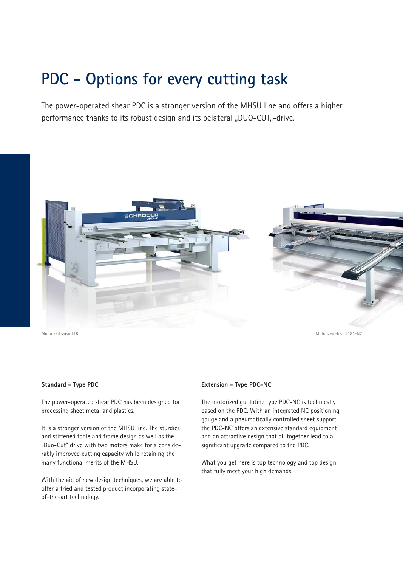## **PDC - Options for every cutting task**

The power-operated shear PDC is a stronger version of the MHSU line and offers a higher performance thanks to its robust design and its belateral "DUO-CUT"-drive.



### **Standard - Type PDC**

The power-operated shear PDC has been designed for processing sheet metal and plastics.

It is a stronger version of the MHSU line. The sturdier and stiffened table and frame design as well as the "Duo-Cut" drive with two motors make for a considerably improved cutting capacity while retaining the many functional merits of the MHSU.

With the aid of new design techniques, we are able to offer a tried and tested product incorporating stateof-the-art technology.

### **Extension - Type PDC-NC**

The motorized guillotine type PDC-NC is technically based on the PDC. With an integrated NC positioning gauge and a pneumatically controlled sheet support the PDC-NC offers an extensive standard equipment and an attractive design that all together lead to a significant upgrade compared to the PDC.

What you get here is top technology and top design that fully meet your high demands.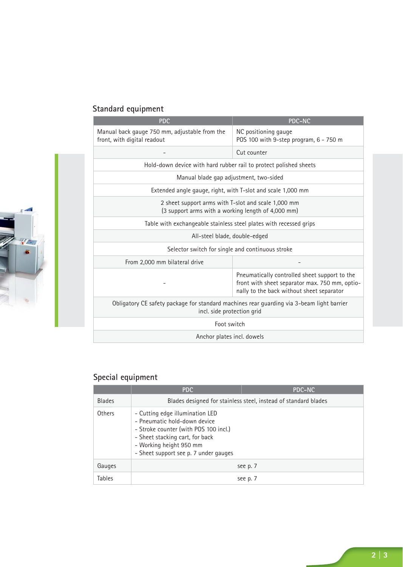### **Standard equipment**

| <b>PDC</b>                                                                                                              | <b>PDC-NC</b>                                                                                                                                |  |
|-------------------------------------------------------------------------------------------------------------------------|----------------------------------------------------------------------------------------------------------------------------------------------|--|
| Manual back gauge 750 mm, adjustable from the<br>front, with digital readout                                            | NC positioning gauge<br>POS 100 with 9-step program, 6 - 750 m                                                                               |  |
|                                                                                                                         | Cut counter                                                                                                                                  |  |
| Hold-down device with hard rubber rail to protect polished sheets                                                       |                                                                                                                                              |  |
| Manual blade gap adjustment, two-sided                                                                                  |                                                                                                                                              |  |
| Extended angle gauge, right, with T-slot and scale 1,000 mm                                                             |                                                                                                                                              |  |
| 2 sheet support arms with T-slot and scale 1,000 mm<br>(3 support arms with a working length of 4,000 mm)               |                                                                                                                                              |  |
| Table with exchangeable stainless steel plates with recessed grips                                                      |                                                                                                                                              |  |
| All-steel blade, double-edged                                                                                           |                                                                                                                                              |  |
| Selector switch for single and continuous stroke                                                                        |                                                                                                                                              |  |
| From 2,000 mm bilateral drive                                                                                           |                                                                                                                                              |  |
|                                                                                                                         | Pneumatically controlled sheet support to the<br>front with sheet separator max. 750 mm, optio-<br>nally to the back without sheet separator |  |
| Obligatory CE safety package for standard machines rear guarding via 3-beam light barrier<br>incl. side protection grid |                                                                                                                                              |  |
| Foot switch                                                                                                             |                                                                                                                                              |  |
| Anchor plates incl. dowels                                                                                              |                                                                                                                                              |  |

### **Special equipment**

|               | <b>PDC</b>                                                                                                                                                                                                      | <b>PDC-NC</b> |  |
|---------------|-----------------------------------------------------------------------------------------------------------------------------------------------------------------------------------------------------------------|---------------|--|
| <b>Blades</b> | Blades designed for stainless steel, instead of standard blades                                                                                                                                                 |               |  |
| Others        | - Cutting edge illumination LED<br>- Pneumatic hold-down device<br>- Stroke counter (with POS 100 incl.)<br>- Sheet stacking cart, for back<br>- Working height 950 mm<br>- Sheet support see p. 7 under gauges |               |  |
| Gauges        |                                                                                                                                                                                                                 | see p. 7      |  |
| Tables        |                                                                                                                                                                                                                 | see p. 7      |  |

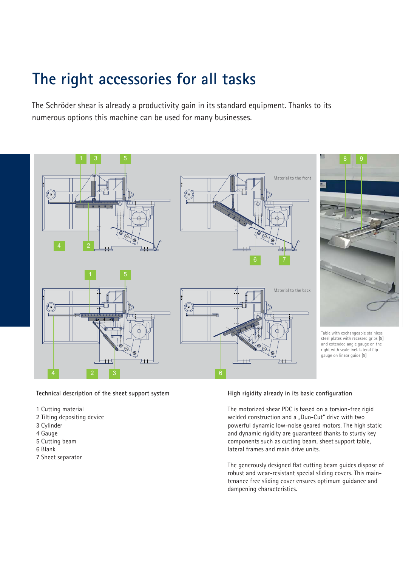# **The right accessories for all tasks**

The Schröder shear is already a productivity gain in its standard equipment. Thanks to its numerous options this machine can be used for many businesses.



**Technical description of the sheet support system**

- 1 Cutting material
- 2 Tilting depositing device
- 3 Cylinder
- 4 Gauge
- 5 Cutting beam
- 6 Blank
- 7 Sheet separator

### **High rigidity already in its basic configuration**

The motorized shear PDC is based on a torsion-free rigid welded construction and a "Duo-Cut" drive with two powerful dynamic low-noise geared motors. The high static and dynamic rigidity are guaranteed thanks to sturdy key components such as cutting beam, sheet support table, lateral frames and main drive units.

The generously designed flat cutting beam guides dispose of robust and wear-resistant special sliding covers. This maintenance free sliding cover ensures optimum guidance and dampening characteristics.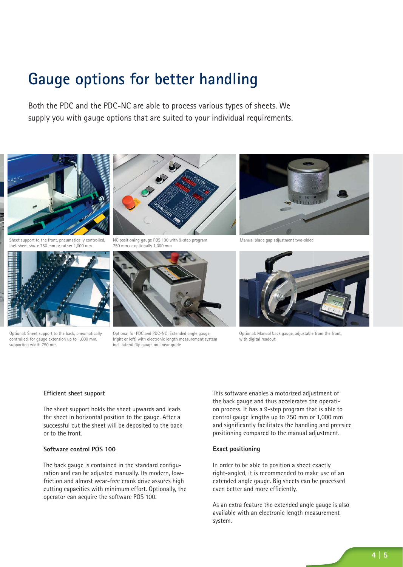## **Gauge options for better handling**

Both the PDC and the PDC-NC are able to process various types of sheets. We supply you with gauge options that are suited to your individual requirements.





Sheet support to the front, pneumatically controlled, incl. sheet shute 750 mm or rather 1,000 mm



Optional: Sheet support to the back, pneumatically controlled, for gauge extension up to 1,000 mm, supporting width 750 mm





Optional for PDC and PDC-NC: Extended angle gauge (right or left) with electronic length measurement system incl. lateral flip gauge on linear guide



Manual blade gap adjustment two-sided



Optional: Manual back gauge, adjustable from the front, with digital readout

#### **Efficient sheet support**

The sheet support holds the sheet upwards and leads the sheet in horizontal position to the gauge. After a successful cut the sheet will be deposited to the back or to the front.

### **Software control POS 100**

The back gauge is contained in the standard configuration and can be adjusted manually. Its modern, lowfriction and almost wear-free crank drive assures high cutting capacities with minimum effort. Optionally, the operator can acquire the software POS 100.

This software enables a motorized adjustment of the back gauge and thus accelerates the operation process. It has a 9-step program that is able to control gauge lengths up to 750 mm or 1,000 mm and significantly facilitates the handling and precsice positioning compared to the manual adjustment.

#### **Exact positioning**

In order to be able to position a sheet exactly right-angled, it is recommended to make use of an extended angle gauge. Big sheets can be processed even better and more efficiently.

As an extra feature the extended angle gauge is also available with an electronic length measurement system.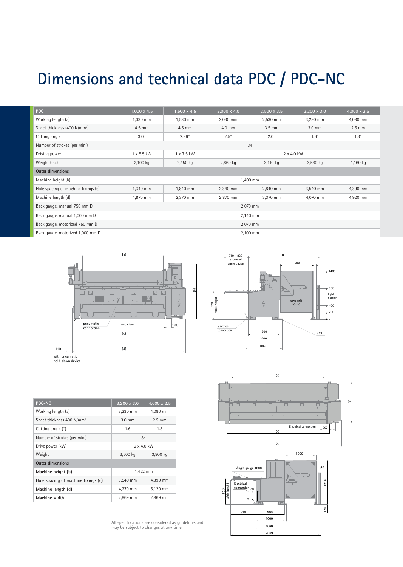# **Dimensions and technical data PDC / PDC-NC**

| <b>PDC</b>                               | $1,000 \times 4.5$ | $1,500 \times 4.5$ | $2,000 \times 4.0$ | $2,500 \times 3.5$ | $3,200 \times 3.0$ | $4,000 \times 2.5$ |
|------------------------------------------|--------------------|--------------------|--------------------|--------------------|--------------------|--------------------|
| Working length (a)                       | 1,030 mm           | 1,530 mm           | 2,030 mm           | 2,530 mm           | 3,230 mm           | 4,080 mm           |
| Sheet thickness (400 N/mm <sup>2</sup> ) | 4.5 mm             | 4.5 mm             | 4.0 mm             | $3.5 \text{ mm}$   | 3.0 mm             | $2.5$ mm           |
| Cutting angle                            | $3.0^\circ$        | $2.86^\circ$       | $2.5^\circ$        | $2.0^\circ$        | $1.6^\circ$        | $1.3^\circ$        |
| Number of strokes (per min.)             | 34                 |                    |                    |                    |                    |                    |
| Driving power                            | 1 x 5.5 kW         | 1 x 7.5 kW         | $2 \times 4.0$ kW  |                    |                    |                    |
| Weight (ca.)                             | 2,100 kg           | 2,450 kg           | 2,860 kg           | 3,110 kg           | 3,560 kg           | 4,160 kg           |
| <b>Outer dimensions</b>                  |                    |                    |                    |                    |                    |                    |
| Machine height (b)                       | 1,400 mm           |                    |                    |                    |                    |                    |
| Hole spacing of machine fixings (c)      | 1,340 mm           | 1,840 mm           | 2,340 mm           | 2,840 mm           | 3,540 mm           | 4,390 mm           |
| Machine length (d)                       | 1,870 mm           | 2,370 mm           | 2,870 mm           | 3,370 mm           | 4,070 mm           | 4,920 mm           |
| Back gauge, manual 750 mm D              | 2,070 mm           |                    |                    |                    |                    |                    |
| Back gauge, manual 1,000 mm D            | 2,140 mm           |                    |                    |                    |                    |                    |
| Back gauge, motorized 750 mm D           | 2,070 mm           |                    |                    |                    |                    |                    |
| Back gauge, motorized 1,000 mm D         | 2,100 mm           |                    |                    |                    |                    |                    |

**710 - 820 ext angle gauge**



**with pneumatic hold-down device**

| <b>PDC-NC</b>                         | $3.200 \times 3.0$   | $4.000 \times 2.5$ |  |
|---------------------------------------|----------------------|--------------------|--|
| Working length (a)                    | 3,230 mm             | 4,080 mm           |  |
| Sheet thickness 400 N/mm <sup>2</sup> | $3.0 \text{ mm}$     | $2.5 \text{ mm}$   |  |
| Cutting angle (°)                     | 1.6                  | 1.3                |  |
| Number of strokes (per min.)          | 34                   |                    |  |
| Drive power (kW)                      | $2 \times 4.0$ kW    |                    |  |
| Weight                                | 3,500 kg<br>3,800 kg |                    |  |
| <b>Outer dimensions</b>               |                      |                    |  |
| Machine height (b)                    | 1,452 mm             |                    |  |
| Hole spacing of machine fixings (c)   | 3,540 mm             | 4,390 mm           |  |
| Machine length (d)                    | 4.270 mm             | 5,120 mm           |  |
| Machine width                         | 2,869 mm             | 2,869 mm           |  |

**1400 900 light barrier** 820<br>table height **table height**  $\frac{1}{k}$ **wave grid 40x40 400 200 0 electrical connection 900 ø 21 1000 1060**

**980**

**D**





All specifi cations are considered as guidelines and may be subject to changes at any time.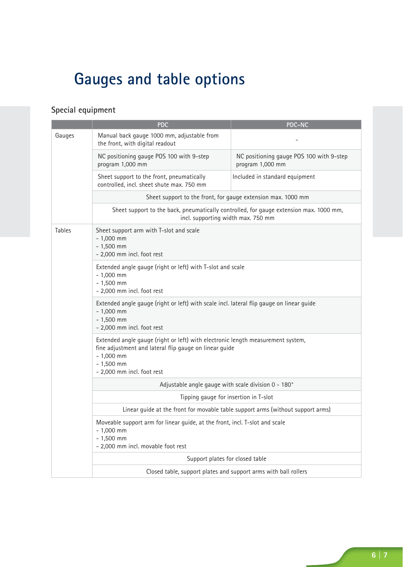# **Gauges and table options**

### **Special equipment**

|        | <b>PDC</b>                                                                                                                                                                                            | <b>PDC-NC</b>                                                |  |  |  |
|--------|-------------------------------------------------------------------------------------------------------------------------------------------------------------------------------------------------------|--------------------------------------------------------------|--|--|--|
| Gauges | Manual back gauge 1000 mm, adjustable from<br>the front, with digital readout                                                                                                                         |                                                              |  |  |  |
|        | NC positioning gauge POS 100 with 9-step<br>program 1,000 mm                                                                                                                                          | NC positioning gauge POS 100 with 9-step<br>program 1,000 mm |  |  |  |
|        | Sheet support to the front, pneumatically<br>controlled, incl. sheet shute max. 750 mm                                                                                                                | Included in standard equipment                               |  |  |  |
|        | Sheet support to the front, for gauge extension max. 1000 mm                                                                                                                                          |                                                              |  |  |  |
|        | Sheet support to the back, pneumatically controlled, for gauge extension max. 1000 mm,<br>incl. supporting width max. 750 mm                                                                          |                                                              |  |  |  |
| Tables | Sheet support arm with T-slot and scale<br>$-1,000$ mm<br>$-1,500$ mm<br>- 2,000 mm incl. foot rest                                                                                                   |                                                              |  |  |  |
|        | Extended angle gauge (right or left) with T-slot and scale<br>$-1,000$ mm<br>$-1,500$ mm<br>- 2,000 mm incl. foot rest                                                                                |                                                              |  |  |  |
|        | Extended angle gauge (right or left) with scale incl. lateral flip gauge on linear guide<br>$-1,000$ mm<br>$-1,500$ mm<br>- 2,000 mm incl. foot rest                                                  |                                                              |  |  |  |
|        | Extended angle gauge (right or left) with electronic length measurement system,<br>fine adjustment and lateral flip gauge on linear guide<br>$-1,000$ mm<br>$-1,500$ mm<br>- 2,000 mm incl. foot rest |                                                              |  |  |  |
|        | Adjustable angle gauge with scale division 0 - 180°                                                                                                                                                   |                                                              |  |  |  |
|        | Tipping gauge for insertion in T-slot                                                                                                                                                                 |                                                              |  |  |  |
|        | Linear guide at the front for movable table support arms (without support arms)                                                                                                                       |                                                              |  |  |  |
|        | Moveable support arm for linear guide, at the front, incl. T-slot and scale<br>$-1,000$ mm<br>$-1,500$ mm<br>- 2,000 mm incl. movable foot rest                                                       |                                                              |  |  |  |
|        | Support plates for closed table                                                                                                                                                                       |                                                              |  |  |  |
|        | Closed table, support plates and support arms with ball rollers                                                                                                                                       |                                                              |  |  |  |